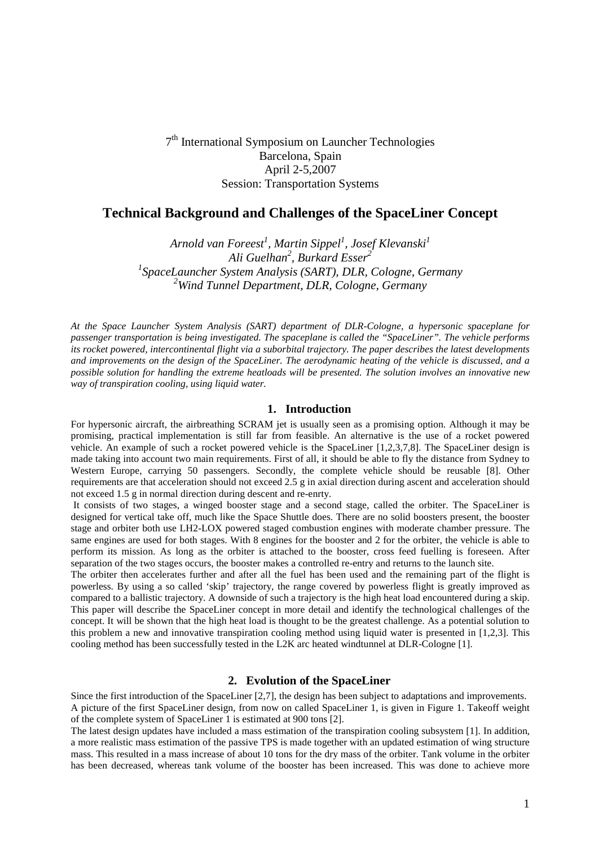7<sup>th</sup> International Symposium on Launcher Technologies Barcelona, Spain April 2-5,2007 Session: Transportation Systems

# **Technical Background and Challenges of the SpaceLiner Concept**

*Arnold van Foreest<sup>1</sup> , Martin Sippel<sup>1</sup> , Josef Klevanski<sup>1</sup> Ali Guelhan<sup>2</sup> , Burkard Esser<sup>2</sup> 1 SpaceLauncher System Analysis (SART), DLR, Cologne, Germany <sup>2</sup>Wind Tunnel Department, DLR, Cologne, Germany* 

*At the Space Launcher System Analysis (SART) department of DLR-Cologne, a hypersonic spaceplane for passenger transportation is being investigated. The spaceplane is called the "SpaceLiner". The vehicle performs its rocket powered, intercontinental flight via a suborbital trajectory. The paper describes the latest developments and improvements on the design of the SpaceLiner. The aerodynamic heating of the vehicle is discussed, and a possible solution for handling the extreme heatloads will be presented. The solution involves an innovative new way of transpiration cooling, using liquid water.* 

#### **1. Introduction**

For hypersonic aircraft, the airbreathing SCRAM jet is usually seen as a promising option. Although it may be promising, practical implementation is still far from feasible. An alternative is the use of a rocket powered vehicle. An example of such a rocket powered vehicle is the SpaceLiner [1,2,3,7,8]. The SpaceLiner design is made taking into account two main requirements. First of all, it should be able to fly the distance from Sydney to Western Europe, carrying 50 passengers. Secondly, the complete vehicle should be reusable [8]. Other requirements are that acceleration should not exceed 2.5 g in axial direction during ascent and acceleration should not exceed 1.5 g in normal direction during descent and re-enrty.

 It consists of two stages, a winged booster stage and a second stage, called the orbiter. The SpaceLiner is designed for vertical take off, much like the Space Shuttle does. There are no solid boosters present, the booster stage and orbiter both use LH2-LOX powered staged combustion engines with moderate chamber pressure. The same engines are used for both stages. With 8 engines for the booster and 2 for the orbiter, the vehicle is able to perform its mission. As long as the orbiter is attached to the booster, cross feed fuelling is foreseen. After separation of the two stages occurs, the booster makes a controlled re-entry and returns to the launch site.

The orbiter then accelerates further and after all the fuel has been used and the remaining part of the flight is powerless. By using a so called 'skip' trajectory, the range covered by powerless flight is greatly improved as compared to a ballistic trajectory. A downside of such a trajectory is the high heat load encountered during a skip. This paper will describe the SpaceLiner concept in more detail and identify the technological challenges of the concept. It will be shown that the high heat load is thought to be the greatest challenge. As a potential solution to this problem a new and innovative transpiration cooling method using liquid water is presented in [1,2,3]. This cooling method has been successfully tested in the L2K arc heated windtunnel at DLR-Cologne [1].

### **2. Evolution of the SpaceLiner**

Since the first introduction of the SpaceLiner [2,7], the design has been subject to adaptations and improvements. A picture of the first SpaceLiner design, from now on called SpaceLiner 1, is given in Figure 1. Takeoff weight of the complete system of SpaceLiner 1 is estimated at 900 tons [2].

The latest design updates have included a mass estimation of the transpiration cooling subsystem [1]. In addition, a more realistic mass estimation of the passive TPS is made together with an updated estimation of wing structure mass. This resulted in a mass increase of about 10 tons for the dry mass of the orbiter. Tank volume in the orbiter has been decreased, whereas tank volume of the booster has been increased. This was done to achieve more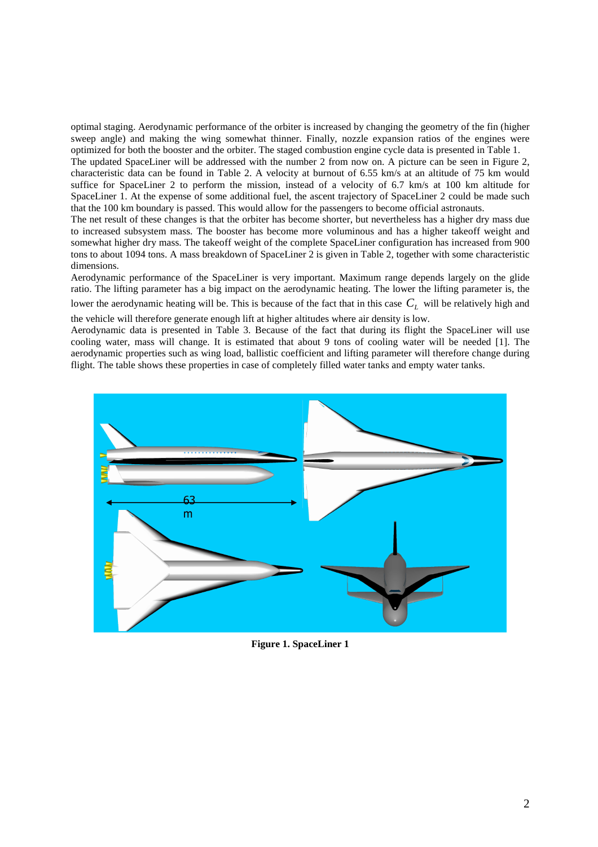optimal staging. Aerodynamic performance of the orbiter is increased by changing the geometry of the fin (higher sweep angle) and making the wing somewhat thinner. Finally, nozzle expansion ratios of the engines were optimized for both the booster and the orbiter. The staged combustion engine cycle data is presented in Table 1.

The updated SpaceLiner will be addressed with the number 2 from now on. A picture can be seen in Figure 2, characteristic data can be found in Table 2. A velocity at burnout of 6.55 km/s at an altitude of 75 km would suffice for SpaceLiner 2 to perform the mission, instead of a velocity of 6.7 km/s at 100 km altitude for SpaceLiner 1. At the expense of some additional fuel, the ascent trajectory of SpaceLiner 2 could be made such that the 100 km boundary is passed. This would allow for the passengers to become official astronauts.

The net result of these changes is that the orbiter has become shorter, but nevertheless has a higher dry mass due to increased subsystem mass. The booster has become more voluminous and has a higher takeoff weight and somewhat higher dry mass. The takeoff weight of the complete SpaceLiner configuration has increased from 900 tons to about 1094 tons. A mass breakdown of SpaceLiner 2 is given in Table 2, together with some characteristic dimensions.

Aerodynamic performance of the SpaceLiner is very important. Maximum range depends largely on the glide ratio. The lifting parameter has a big impact on the aerodynamic heating. The lower the lifting parameter is, the

lower the aerodynamic heating will be. This is because of the fact that in this case  $C_L$  will be relatively high and the vehicle will therefore generate enough lift at higher altitudes where air density is low.

Aerodynamic data is presented in Table 3. Because of the fact that during its flight the SpaceLiner will use cooling water, mass will change. It is estimated that about 9 tons of cooling water will be needed [1]. The aerodynamic properties such as wing load, ballistic coefficient and lifting parameter will therefore change during flight. The table shows these properties in case of completely filled water tanks and empty water tanks.



**Figure 1. SpaceLiner 1**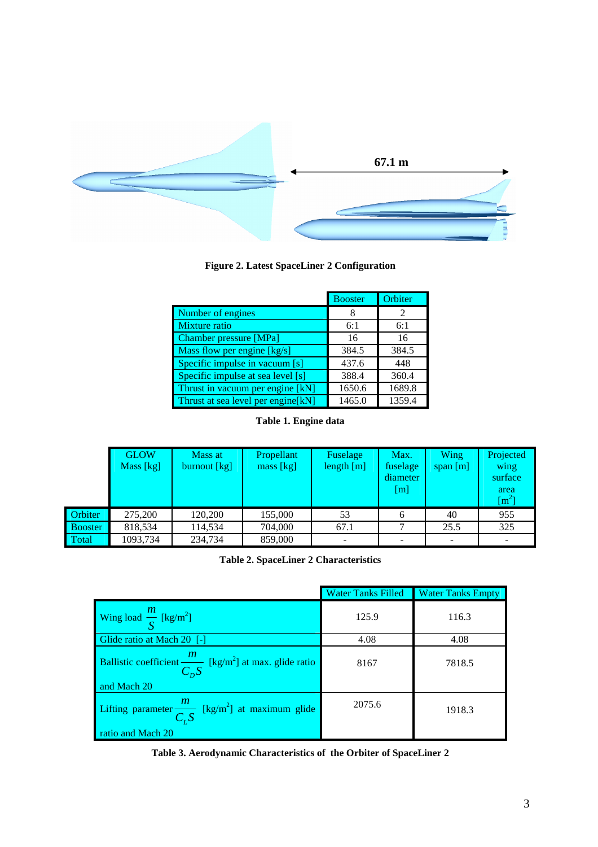

# **Figure 2. Latest SpaceLiner 2 Configuration**

|                                    | <b>Booster</b> | Orbiter                     |
|------------------------------------|----------------|-----------------------------|
| Number of engines                  |                | $\mathcal{D}_{\mathcal{A}}$ |
| Mixture ratio                      | 6:1            | 6:1                         |
| <b>Chamber pressure [MPa]</b>      | 16             | 16                          |
| Mass flow per engine [kg/s]        | 384.5          | 384.5                       |
| Specific impulse in vacuum [s]     | 437.6          | 448                         |
| Specific impulse at sea level [s]  | 388.4          | 360.4                       |
| Thrust in vacuum per engine [kN]   | 1650.6         | 1689.8                      |
| Thrust at sea level per engine[kN] | 1465.0         | 1359.4                      |

**Table 1. Engine data** 

|                | <b>GLOW</b><br>Mass [kg] | Mass at<br>burnout [kg] | Propellant<br>mass [kg] | Fuselage<br>length [m] | Max.<br>fuselage<br>diameter<br>$\lceil m \rceil$ | <b>Wing</b><br>span $[m]$ | Projected<br>wing<br>surface<br>area<br>$\rm [m^2]$ |
|----------------|--------------------------|-------------------------|-------------------------|------------------------|---------------------------------------------------|---------------------------|-----------------------------------------------------|
| <b>Orbiter</b> | 275,200                  | 120.200                 | 155,000                 | 53                     |                                                   | 40                        | 955                                                 |
| <b>Booster</b> | 818.534                  | 114.534                 | 704,000                 | 67.1                   |                                                   | 25.5                      | 325                                                 |
| Total          | 1093,734                 | 234,734                 | 859,000                 |                        |                                                   |                           |                                                     |

**Table 2. SpaceLiner 2 Characteristics** 

|                                                                                                 | <b>Water Tanks Filled</b> | <b>Water Tanks Empty</b> |
|-------------------------------------------------------------------------------------------------|---------------------------|--------------------------|
| Wing load $\frac{m}{S}$ [kg/m <sup>2</sup> ]                                                    | 125.9                     | 116.3                    |
| Glide ratio at Mach 20 [-]                                                                      | 4.08                      | 4.08                     |
| Ballistic coefficient $\frac{m}{C_D S}$ [kg/m <sup>2</sup> ] at max. glide ratio<br>and Mach 20 | 8167                      | 7818.5                   |
| Lifting parameter $\frac{m}{C_L S}$ [kg/m <sup>2</sup> ] at maximum glide<br>ratio and Mach 20  | 2075.6                    | 1918.3                   |

**Table 3. Aerodynamic Characteristics of the Orbiter of SpaceLiner 2**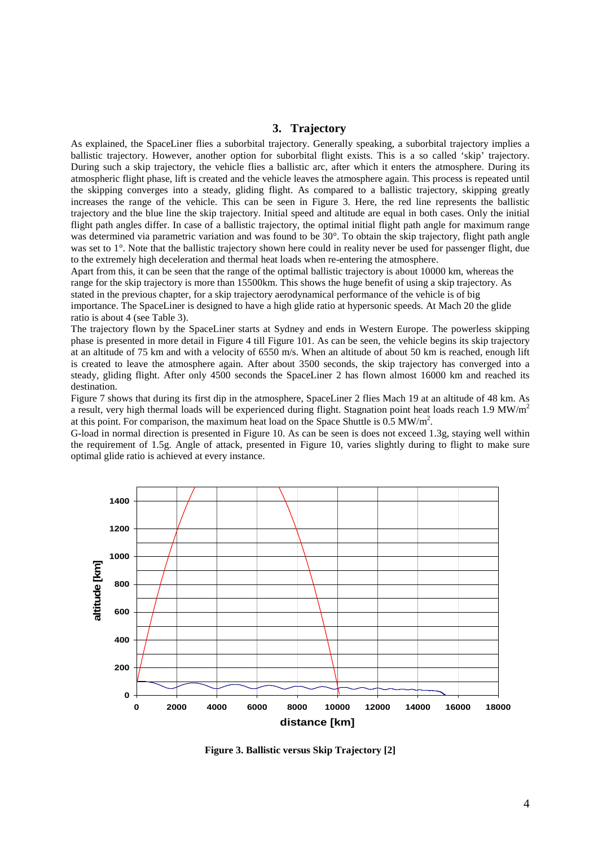## **3. Trajectory**

As explained, the SpaceLiner flies a suborbital trajectory. Generally speaking, a suborbital trajectory implies a ballistic trajectory. However, another option for suborbital flight exists. This is a so called 'skip' trajectory. During such a skip trajectory, the vehicle flies a ballistic arc, after which it enters the atmosphere. During its atmospheric flight phase, lift is created and the vehicle leaves the atmosphere again. This process is repeated until the skipping converges into a steady, gliding flight. As compared to a ballistic trajectory, skipping greatly increases the range of the vehicle. This can be seen in Figure 3. Here, the red line represents the ballistic trajectory and the blue line the skip trajectory. Initial speed and altitude are equal in both cases. Only the initial flight path angles differ. In case of a ballistic trajectory, the optimal initial flight path angle for maximum range was determined via parametric variation and was found to be  $30^{\circ}$ . To obtain the skip trajectory, flight path angle was set to 1°. Note that the ballistic trajectory shown here could in reality never be used for passenger flight, due to the extremely high deceleration and thermal heat loads when re-entering the atmosphere.

Apart from this, it can be seen that the range of the optimal ballistic trajectory is about 10000 km, whereas the range for the skip trajectory is more than 15500km. This shows the huge benefit of using a skip trajectory. As stated in the previous chapter, for a skip trajectory aerodynamical performance of the vehicle is of big

importance. The SpaceLiner is designed to have a high glide ratio at hypersonic speeds. At Mach 20 the glide ratio is about 4 (see Table 3).

The trajectory flown by the SpaceLiner starts at Sydney and ends in Western Europe. The powerless skipping phase is presented in more detail in Figure 4 till Figure 101. As can be seen, the vehicle begins its skip trajectory at an altitude of 75 km and with a velocity of 6550 m/s. When an altitude of about 50 km is reached, enough lift is created to leave the atmosphere again. After about 3500 seconds, the skip trajectory has converged into a steady, gliding flight. After only 4500 seconds the SpaceLiner 2 has flown almost 16000 km and reached its destination.

Figure 7 shows that during its first dip in the atmosphere, SpaceLiner 2 flies Mach 19 at an altitude of 48 km. As a result, very high thermal loads will be experienced during flight. Stagnation point heat loads reach 1.9 MW/m<sup>2</sup> at this point. For comparison, the maximum heat load on the Space Shuttle is  $0.5 \text{ MW/m}^2$ .

G-load in normal direction is presented in Figure 10. As can be seen is does not exceed 1.3g, staying well within the requirement of 1.5g. Angle of attack, presented in Figure 10, varies slightly during to flight to make sure optimal glide ratio is achieved at every instance.



**Figure 3. Ballistic versus Skip Trajectory [2]**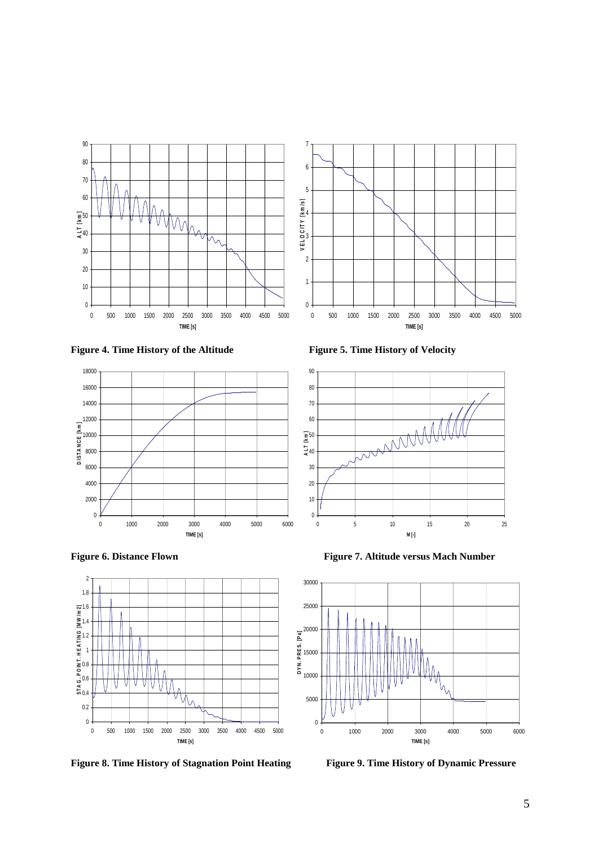









Figure 8. Time History of Stagnation Point Heating Figure 9. Time History of Dynamic Pressure





**Figure 6. Distance Flown Figure 7. Altitude versus Mach Number** 

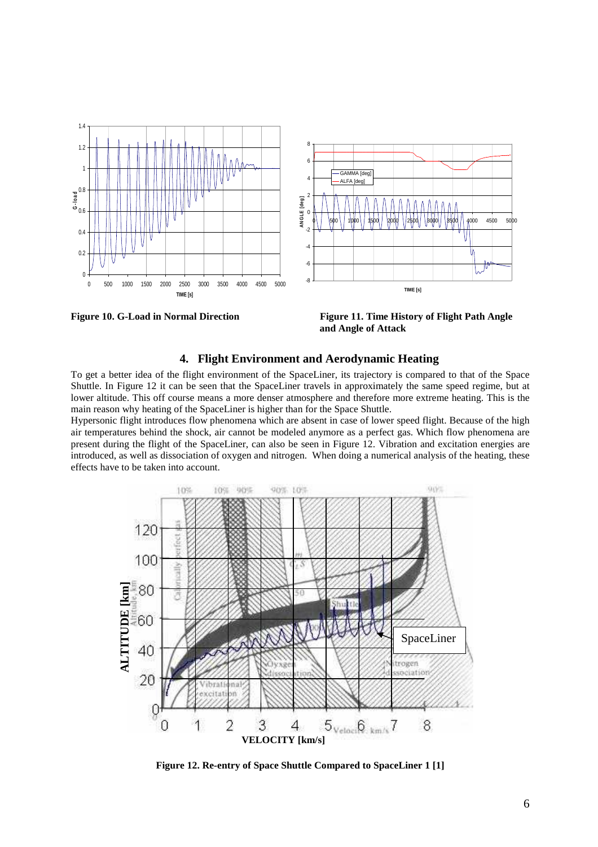



**Figure 10. G-Load in Normal Direction Figure 11. Time History of Flight Path Angle and Angle of Attack** 

## **4. Flight Environment and Aerodynamic Heating**

To get a better idea of the flight environment of the SpaceLiner, its trajectory is compared to that of the Space Shuttle. In Figure 12 it can be seen that the SpaceLiner travels in approximately the same speed regime, but at lower altitude. This off course means a more denser atmosphere and therefore more extreme heating. This is the main reason why heating of the SpaceLiner is higher than for the Space Shuttle.

Hypersonic flight introduces flow phenomena which are absent in case of lower speed flight. Because of the high air temperatures behind the shock, air cannot be modeled anymore as a perfect gas. Which flow phenomena are present during the flight of the SpaceLiner, can also be seen in Figure 12. Vibration and excitation energies are introduced, as well as dissociation of oxygen and nitrogen. When doing a numerical analysis of the heating, these effects have to be taken into account.



**Figure 12. Re-entry of Space Shuttle Compared to SpaceLiner 1 [1]**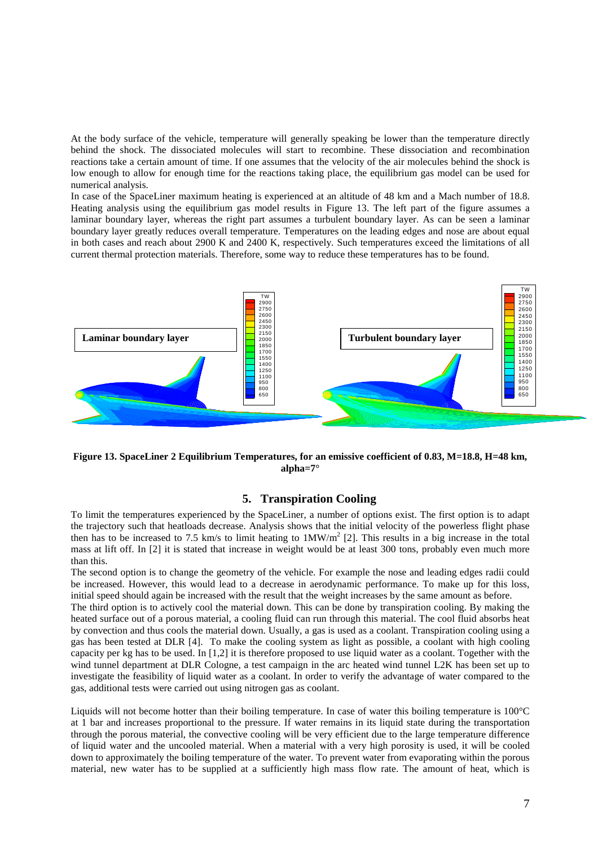At the body surface of the vehicle, temperature will generally speaking be lower than the temperature directly behind the shock. The dissociated molecules will start to recombine. These dissociation and recombination reactions take a certain amount of time. If one assumes that the velocity of the air molecules behind the shock is low enough to allow for enough time for the reactions taking place, the equilibrium gas model can be used for numerical analysis.

In case of the SpaceLiner maximum heating is experienced at an altitude of 48 km and a Mach number of 18.8. Heating analysis using the equilibrium gas model results in Figure 13. The left part of the figure assumes a laminar boundary layer, whereas the right part assumes a turbulent boundary layer. As can be seen a laminar boundary layer greatly reduces overall temperature. Temperatures on the leading edges and nose are about equal in both cases and reach about 2900 K and 2400 K, respectively. Such temperatures exceed the limitations of all current thermal protection materials. Therefore, some way to reduce these temperatures has to be found.



**Figure 13. SpaceLiner 2 Equilibrium Temperatures, for an emissive coefficient of 0.83, M=18.8, H=48 km, alpha=7°** 

#### **5. Transpiration Cooling**

To limit the temperatures experienced by the SpaceLiner, a number of options exist. The first option is to adapt the trajectory such that heatloads decrease. Analysis shows that the initial velocity of the powerless flight phase then has to be increased to 7.5 km/s to limit heating to  $1MW/m<sup>2</sup>$  [2]. This results in a big increase in the total mass at lift off. In [2] it is stated that increase in weight would be at least 300 tons, probably even much more than this.

The second option is to change the geometry of the vehicle. For example the nose and leading edges radii could be increased. However, this would lead to a decrease in aerodynamic performance. To make up for this loss, initial speed should again be increased with the result that the weight increases by the same amount as before.

The third option is to actively cool the material down. This can be done by transpiration cooling. By making the heated surface out of a porous material, a cooling fluid can run through this material. The cool fluid absorbs heat by convection and thus cools the material down. Usually, a gas is used as a coolant. Transpiration cooling using a gas has been tested at DLR [4]. To make the cooling system as light as possible, a coolant with high cooling capacity per kg has to be used. In [1,2] it is therefore proposed to use liquid water as a coolant. Together with the wind tunnel department at DLR Cologne, a test campaign in the arc heated wind tunnel L2K has been set up to investigate the feasibility of liquid water as a coolant. In order to verify the advantage of water compared to the gas, additional tests were carried out using nitrogen gas as coolant.

Liquids will not become hotter than their boiling temperature. In case of water this boiling temperature is 100°C at 1 bar and increases proportional to the pressure. If water remains in its liquid state during the transportation through the porous material, the convective cooling will be very efficient due to the large temperature difference of liquid water and the uncooled material. When a material with a very high porosity is used, it will be cooled down to approximately the boiling temperature of the water. To prevent water from evaporating within the porous material, new water has to be supplied at a sufficiently high mass flow rate. The amount of heat, which is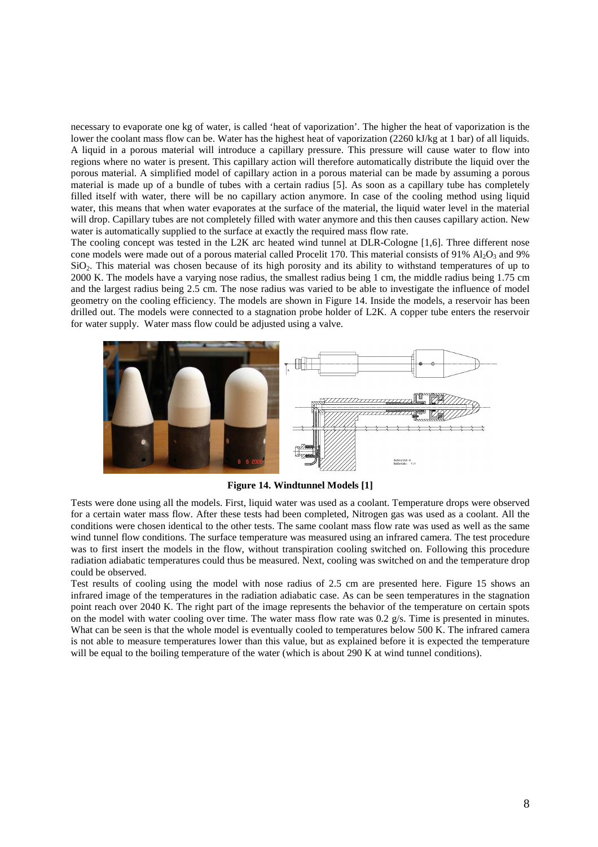necessary to evaporate one kg of water, is called 'heat of vaporization'. The higher the heat of vaporization is the lower the coolant mass flow can be. Water has the highest heat of vaporization (2260 kJ/kg at 1 bar) of all liquids. A liquid in a porous material will introduce a capillary pressure. This pressure will cause water to flow into regions where no water is present. This capillary action will therefore automatically distribute the liquid over the porous material. A simplified model of capillary action in a porous material can be made by assuming a porous material is made up of a bundle of tubes with a certain radius [5]. As soon as a capillary tube has completely filled itself with water, there will be no capillary action anymore. In case of the cooling method using liquid water, this means that when water evaporates at the surface of the material, the liquid water level in the material will drop. Capillary tubes are not completely filled with water anymore and this then causes capillary action. New water is automatically supplied to the surface at exactly the required mass flow rate.

The cooling concept was tested in the L2K arc heated wind tunnel at DLR-Cologne [1,6]. Three different nose cone models were made out of a porous material called Procelit 170. This material consists of 91%  $Al_2O_3$  and 9% SiO<sub>2</sub>. This material was chosen because of its high porosity and its ability to withstand temperatures of up to 2000 K. The models have a varying nose radius, the smallest radius being 1 cm, the middle radius being 1.75 cm and the largest radius being 2.5 cm. The nose radius was varied to be able to investigate the influence of model geometry on the cooling efficiency. The models are shown in Figure 14. Inside the models, a reservoir has been drilled out. The models were connected to a stagnation probe holder of L2K. A copper tube enters the reservoir for water supply. Water mass flow could be adjusted using a valve.



**Figure 14. Windtunnel Models [1]** 

Tests were done using all the models. First, liquid water was used as a coolant. Temperature drops were observed for a certain water mass flow. After these tests had been completed, Nitrogen gas was used as a coolant. All the conditions were chosen identical to the other tests. The same coolant mass flow rate was used as well as the same wind tunnel flow conditions. The surface temperature was measured using an infrared camera. The test procedure was to first insert the models in the flow, without transpiration cooling switched on. Following this procedure radiation adiabatic temperatures could thus be measured. Next, cooling was switched on and the temperature drop could be observed.

Test results of cooling using the model with nose radius of 2.5 cm are presented here. Figure 15 shows an infrared image of the temperatures in the radiation adiabatic case. As can be seen temperatures in the stagnation point reach over 2040 K. The right part of the image represents the behavior of the temperature on certain spots on the model with water cooling over time. The water mass flow rate was  $0.2 \times s$ . Time is presented in minutes. What can be seen is that the whole model is eventually cooled to temperatures below 500 K. The infrared camera is not able to measure temperatures lower than this value, but as explained before it is expected the temperature will be equal to the boiling temperature of the water (which is about 290 K at wind tunnel conditions).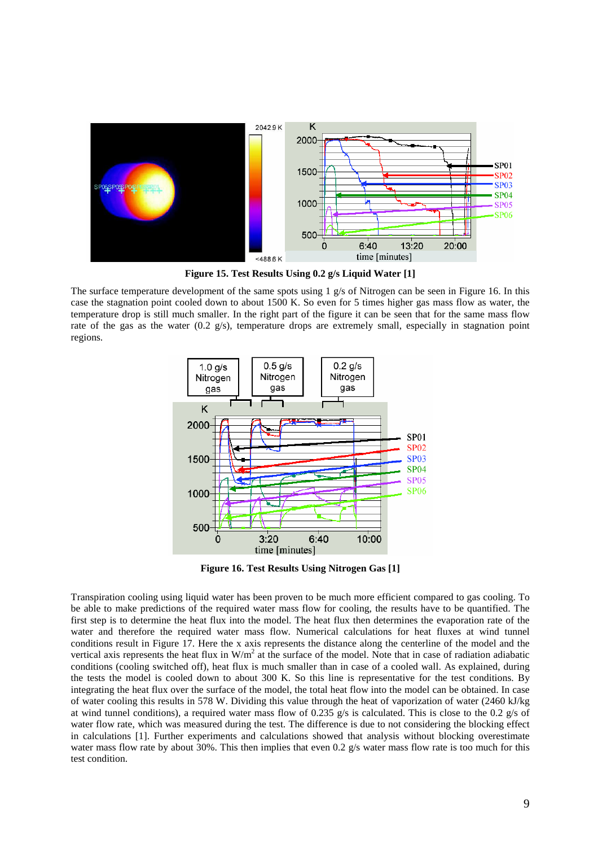

**Figure 15. Test Results Using 0.2 g/s Liquid Water [1]** 

The surface temperature development of the same spots using 1 g/s of Nitrogen can be seen in Figure 16. In this case the stagnation point cooled down to about 1500 K. So even for 5 times higher gas mass flow as water, the temperature drop is still much smaller. In the right part of the figure it can be seen that for the same mass flow rate of the gas as the water (0.2 g/s), temperature drops are extremely small, especially in stagnation point regions.



**Figure 16. Test Results Using Nitrogen Gas [1]** 

Transpiration cooling using liquid water has been proven to be much more efficient compared to gas cooling. To be able to make predictions of the required water mass flow for cooling, the results have to be quantified. The first step is to determine the heat flux into the model. The heat flux then determines the evaporation rate of the water and therefore the required water mass flow. Numerical calculations for heat fluxes at wind tunnel conditions result in Figure 17. Here the x axis represents the distance along the centerline of the model and the vertical axis represents the heat flux in  $W/m^2$  at the surface of the model. Note that in case of radiation adiabatic conditions (cooling switched off), heat flux is much smaller than in case of a cooled wall. As explained, during the tests the model is cooled down to about 300 K. So this line is representative for the test conditions. By integrating the heat flux over the surface of the model, the total heat flow into the model can be obtained. In case of water cooling this results in 578 W. Dividing this value through the heat of vaporization of water (2460 kJ/kg at wind tunnel conditions), a required water mass flow of 0.235 g/s is calculated. This is close to the 0.2 g/s of water flow rate, which was measured during the test. The difference is due to not considering the blocking effect in calculations [1]. Further experiments and calculations showed that analysis without blocking overestimate water mass flow rate by about 30%. This then implies that even 0.2 g/s water mass flow rate is too much for this test condition.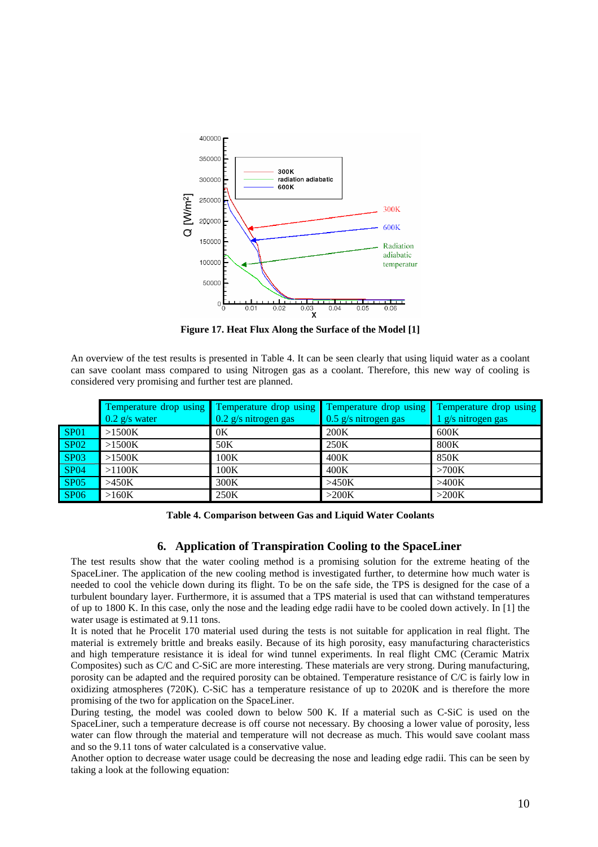

**Figure 17. Heat Flux Along the Surface of the Model [1]** 

An overview of the test results is presented in Table 4. It can be seen clearly that using liquid water as a coolant can save coolant mass compared to using Nitrogen gas as a coolant. Therefore, this new way of cooling is considered very promising and further test are planned.

|                  | $0.2$ g/s water | Temperature drop using Temperature drop using Temperature drop using<br>0.2 g/s nitrogen gas | 0.5 g/s nitrogen gas | <b>Temperature drop using</b><br>1 g/s nitrogen gas |
|------------------|-----------------|----------------------------------------------------------------------------------------------|----------------------|-----------------------------------------------------|
| SP <sub>01</sub> | >1500K          | 0K                                                                                           | 200K                 | 600K                                                |
| <b>SP02</b>      | >1500K          | 50K                                                                                          | 250K                 | <b>800K</b>                                         |
| <b>SP03</b>      | >1500K          | 100K                                                                                         | 400K                 | 850K                                                |
| <b>SP04</b>      | >1100K          | 100K                                                                                         | 400K                 | >700K                                               |
| SP <sub>05</sub> | >450K           | 300K                                                                                         | >450K                | >400K                                               |
| <b>SP06</b>      | >160K           | 250K                                                                                         | >200K                | >200K                                               |

**Table 4. Comparison between Gas and Liquid Water Coolants** 

# **6. Application of Transpiration Cooling to the SpaceLiner**

The test results show that the water cooling method is a promising solution for the extreme heating of the SpaceLiner. The application of the new cooling method is investigated further, to determine how much water is needed to cool the vehicle down during its flight. To be on the safe side, the TPS is designed for the case of a turbulent boundary layer. Furthermore, it is assumed that a TPS material is used that can withstand temperatures of up to 1800 K. In this case, only the nose and the leading edge radii have to be cooled down actively. In [1] the water usage is estimated at 9.11 tons.

It is noted that he Procelit 170 material used during the tests is not suitable for application in real flight. The material is extremely brittle and breaks easily. Because of its high porosity, easy manufacturing characteristics and high temperature resistance it is ideal for wind tunnel experiments. In real flight CMC (Ceramic Matrix Composites) such as C/C and C-SiC are more interesting. These materials are very strong. During manufacturing, porosity can be adapted and the required porosity can be obtained. Temperature resistance of C/C is fairly low in oxidizing atmospheres (720K). C-SiC has a temperature resistance of up to 2020K and is therefore the more promising of the two for application on the SpaceLiner.

During testing, the model was cooled down to below 500 K. If a material such as C-SiC is used on the SpaceLiner, such a temperature decrease is off course not necessary. By choosing a lower value of porosity, less water can flow through the material and temperature will not decrease as much. This would save coolant mass and so the 9.11 tons of water calculated is a conservative value.

Another option to decrease water usage could be decreasing the nose and leading edge radii. This can be seen by taking a look at the following equation: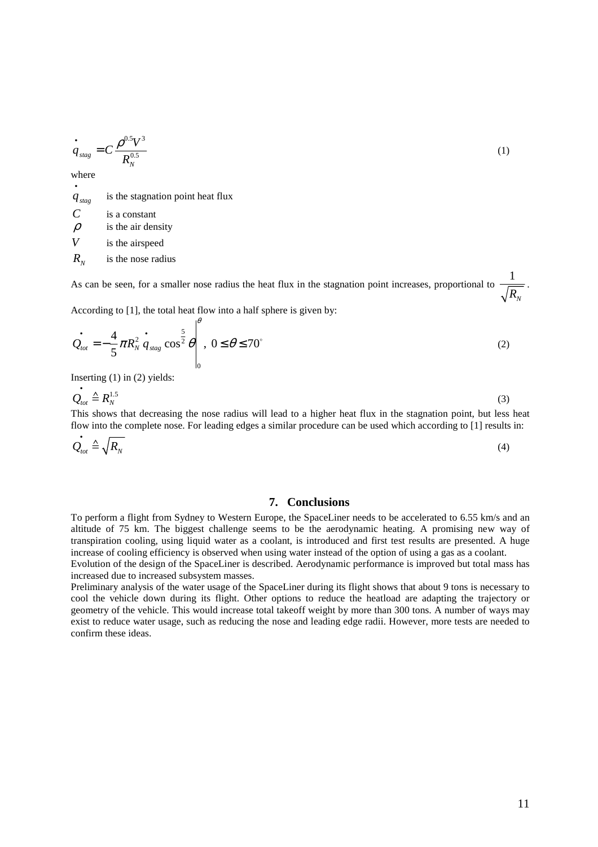$$
\dot{q}_{\text{stag}} = C \frac{\rho^{0.5} V^3}{R_N^{0.5}} \tag{1}
$$

where •

 $q_{\text{stag}}$  is the stagnation point heat flux *C* is a constant  $\rho$  is the air density *V* is the airspeed  $R_{N}$ is the nose radius

As can be seen, for a smaller nose radius the heat flux in the stagnation point increases, proportional to 1  $R_{N}$ .

According to [1], the total heat flow into a half sphere is given by: θ

$$
\dot{\mathcal{Q}}_{tot} = -\frac{4}{5}\pi R_N^2 \dot{q}_{stag} \cos^{\frac{5}{2}}\theta \Bigg|_0^1, \ 0 \le \theta \le 70^\circ \tag{2}
$$

Inserting (1) in (2) yields:

$$
\dot{Q}_{\text{tot}} \triangleq R_N^{1.5} \tag{3}
$$

This shows that decreasing the nose radius will lead to a higher heat flux in the stagnation point, but less heat flow into the complete nose. For leading edges a similar procedure can be used which according to [1] results in:

$$
\dot{Q}_{\text{tot}} \triangleq \sqrt{R_N} \tag{4}
$$

### **7. Conclusions**

To perform a flight from Sydney to Western Europe, the SpaceLiner needs to be accelerated to 6.55 km/s and an altitude of 75 km. The biggest challenge seems to be the aerodynamic heating. A promising new way of transpiration cooling, using liquid water as a coolant, is introduced and first test results are presented. A huge increase of cooling efficiency is observed when using water instead of the option of using a gas as a coolant.

Evolution of the design of the SpaceLiner is described. Aerodynamic performance is improved but total mass has increased due to increased subsystem masses.

Preliminary analysis of the water usage of the SpaceLiner during its flight shows that about 9 tons is necessary to cool the vehicle down during its flight. Other options to reduce the heatload are adapting the trajectory or geometry of the vehicle. This would increase total takeoff weight by more than 300 tons. A number of ways may exist to reduce water usage, such as reducing the nose and leading edge radii. However, more tests are needed to confirm these ideas.